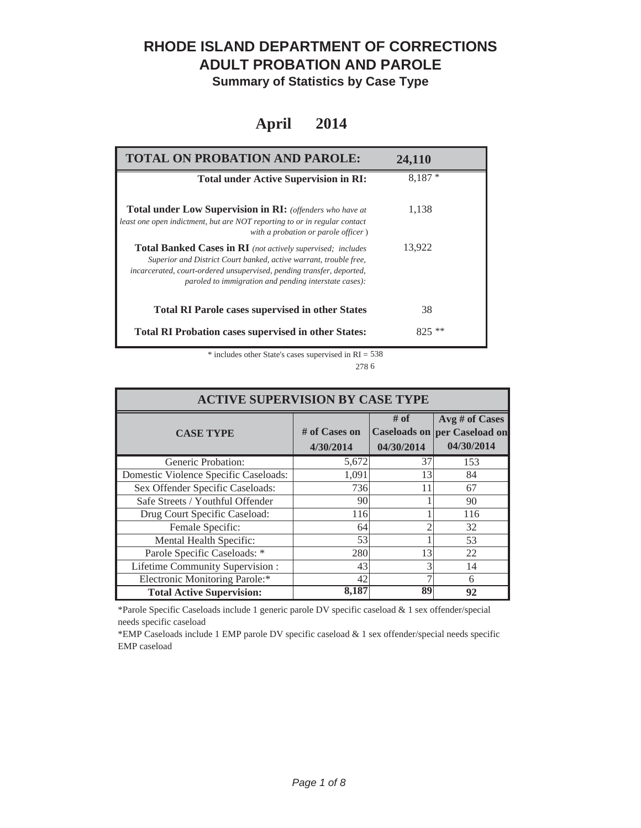### **RHODE ISLAND DEPARTMENT OF CORRECTIONS ADULT PROBATION AND PAROLE**

**Summary of Statistics by Case Type**

#### **April 2014**

| <b>TOTAL ON PROBATION AND PAROLE:</b>                                                                                                                                                                                                                              | 24,110   |
|--------------------------------------------------------------------------------------------------------------------------------------------------------------------------------------------------------------------------------------------------------------------|----------|
| <b>Total under Active Supervision in RI:</b>                                                                                                                                                                                                                       | $8.187*$ |
| <b>Total under Low Supervision in RI:</b> (offenders who have at<br>least one open indictment, but are NOT reporting to or in regular contact<br>with a probation or parole officer)                                                                               | 1,138    |
| Total Banked Cases in RI (not actively supervised; includes<br>Superior and District Court banked, active warrant, trouble free,<br>incarcerated, court-ordered unsupervised, pending transfer, deported,<br>paroled to immigration and pending interstate cases): | 13,922   |
| <b>Total RI Parole cases supervised in other States</b>                                                                                                                                                                                                            | 38       |
| <b>Total RI Probation cases supervised in other States:</b>                                                                                                                                                                                                        | $825$ ** |

\* includes other State's cases supervised in RI = 538 6 278

| <b>ACTIVE SUPERVISION BY CASE TYPE</b> |                              |                    |                                                              |  |
|----------------------------------------|------------------------------|--------------------|--------------------------------------------------------------|--|
| <b>CASE TYPE</b>                       | $#$ of Cases on<br>4/30/2014 | # of<br>04/30/2014 | Avg # of Cases<br>Caseloads on per Caseload on<br>04/30/2014 |  |
| Generic Probation:                     | 5,672                        | 37                 | 153                                                          |  |
| Domestic Violence Specific Caseloads:  | 1,091                        | 13                 | 84                                                           |  |
| Sex Offender Specific Caseloads:       | 736                          | 11                 | 67                                                           |  |
| Safe Streets / Youthful Offender       | 90                           |                    | 90                                                           |  |
| Drug Court Specific Caseload:          | 116                          |                    | 116                                                          |  |
| Female Specific:                       | 64                           |                    | 32                                                           |  |
| Mental Health Specific:                | 53                           |                    | 53                                                           |  |
| Parole Specific Caseloads: *           | 280                          | 13                 | 22                                                           |  |
| Lifetime Community Supervision:        | 43                           |                    | 14                                                           |  |
| Electronic Monitoring Parole:*         | 42                           |                    | 6                                                            |  |
| <b>Total Active Supervision:</b>       | 8.187                        | 89                 | 92                                                           |  |

\*Parole Specific Caseloads include 1 generic parole DV specific caseload & 1 sex offender/special needs specific caseload

\*EMP Caseloads include 1 EMP parole DV specific caseload & 1 sex offender/special needs specific EMP caseload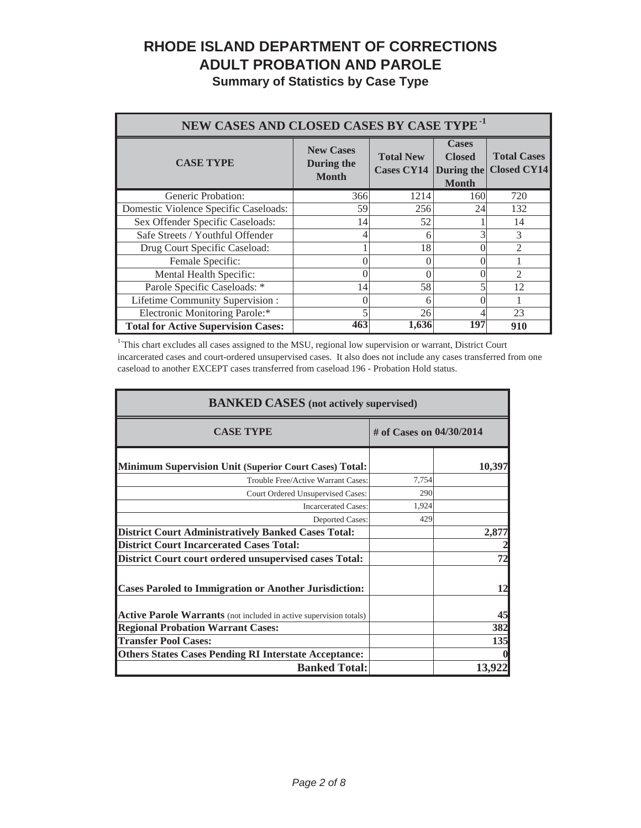# **RHODE ISLAND DEPARTMENT OF CORRECTIONS ADULT PROBATION AND PAROLE**

|  |  | <b>Summary of Statistics by Case Type</b> |  |  |  |
|--|--|-------------------------------------------|--|--|--|
|--|--|-------------------------------------------|--|--|--|

| NEW CASES AND CLOSED CASES BY CASE TYPE <sup>-1</sup> |                                                |                                       |                                                             |                                          |
|-------------------------------------------------------|------------------------------------------------|---------------------------------------|-------------------------------------------------------------|------------------------------------------|
| <b>CASE TYPE</b>                                      | <b>New Cases</b><br>During the<br><b>Month</b> | <b>Total New</b><br><b>Cases CY14</b> | <b>Cases</b><br><b>Closed</b><br>During the<br><b>Month</b> | <b>Total Cases</b><br><b>Closed CY14</b> |
| Generic Probation:                                    | 366                                            | 1214                                  | 160                                                         | 720                                      |
| Domestic Violence Specific Caseloads:                 | 59                                             | 256                                   | 24                                                          | 132                                      |
| Sex Offender Specific Caseloads:                      | 14                                             | 52                                    |                                                             | 14                                       |
| Safe Streets / Youthful Offender                      |                                                | 6                                     | 3                                                           | 3                                        |
| Drug Court Specific Caseload:                         |                                                | 18                                    |                                                             | $\mathfrak{D}$                           |
| Female Specific:                                      |                                                | 0                                     |                                                             |                                          |
| Mental Health Specific:                               |                                                | 0                                     |                                                             | $\mathfrak{D}$                           |
| Parole Specific Caseloads: *                          | 14                                             | 58                                    |                                                             | 12                                       |
| Lifetime Community Supervision:                       |                                                | 6                                     |                                                             |                                          |
| Electronic Monitoring Parole:*                        |                                                | 26                                    |                                                             | 23                                       |
| <b>Total for Active Supervision Cases:</b>            | 463                                            | 1,636                                 | 197                                                         | 910                                      |

<sup>1</sup>This chart excludes all cases assigned to the MSU, regional low supervision or warrant, District Court incarcerated cases and court-ordered unsupervised cases. It also does not include any cases transferred from one caseload to another EXCEPT cases transferred from caseload 196 - Probation Hold status.

| <b>BANKED CASES</b> (not actively supervised)                             |                            |        |  |
|---------------------------------------------------------------------------|----------------------------|--------|--|
| <b>CASE TYPE</b>                                                          | # of Cases on $04/30/2014$ |        |  |
| Minimum Supervision Unit (Superior Court Cases) Total:                    |                            | 10,397 |  |
| Trouble Free/Active Warrant Cases:                                        | 7,754                      |        |  |
| Court Ordered Unsupervised Cases:                                         | 290                        |        |  |
| <b>Incarcerated Cases:</b>                                                | 1,924                      |        |  |
| Deported Cases:                                                           | 429                        |        |  |
| <b>District Court Administratively Banked Cases Total:</b>                |                            | 2,877  |  |
| <b>District Court Incarcerated Cases Total:</b>                           |                            |        |  |
| District Court court ordered unsupervised cases Total:                    |                            | 72     |  |
| <b>Cases Paroled to Immigration or Another Jurisdiction:</b>              |                            | 12     |  |
| <b>Active Parole Warrants</b> (not included in active supervision totals) |                            | 45     |  |
| <b>Regional Probation Warrant Cases:</b>                                  |                            | 382    |  |
| <b>Transfer Pool Cases:</b>                                               |                            | 135    |  |
| <b>Others States Cases Pending RI Interstate Acceptance:</b>              |                            |        |  |
| <b>Banked Total:</b>                                                      |                            | 13.92  |  |